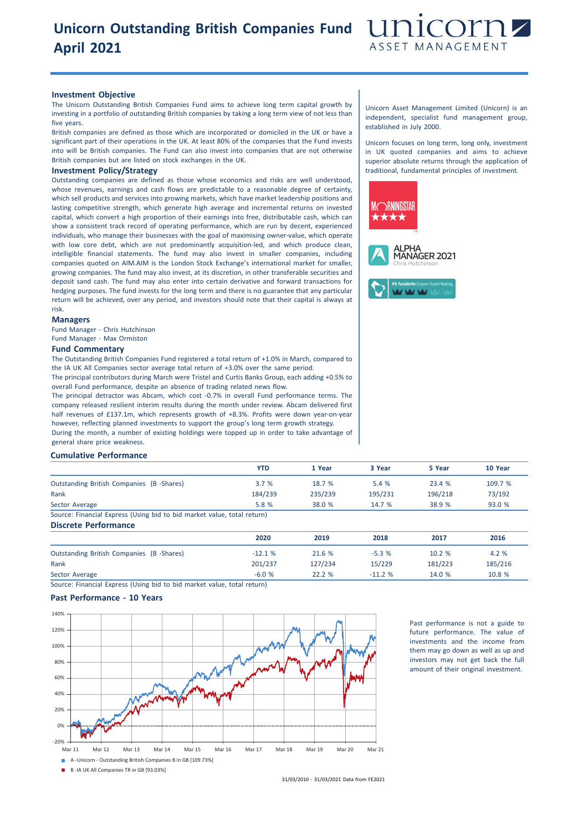# **Unicorn Outstanding British Companies Fund April 2021**



#### **Investment Objective**

The Unicorn Outstanding British Companies Fund aims to achieve long term capital growth by investing in a portfolio of outstanding British companies by taking a long term view of not less than five years.

British companies are defined as those which are incorporated or domiciled in the UK or have a significant part of their operations in the UK. At least 80% of the companies that the Fund invests into will be British companies. The Fund can also invest into companies that are not otherwise British companies but are listed on stock exchanges in the UK.

#### **Investment Policy/Strategy**

Outstanding companies are defined as those whose economics and risks are well understood, whose revenues, earnings and cash flows are predictable to a reasonable degree of certainty, which sell products and services into growing markets, which have market leadership positions and lasting competitive strength, which generate high average and incremental returns on invested capital, which convert a high proportion of their earnings into free, distributable cash, which can show a consistent track record of operating performance, which are run by decent, experienced individuals, who manage their businesses with the goal of maximising owner-value, which operate with low core debt, which are not predominantly acquisition-led, and which produce clean, intelligible financial statements. The fund may also invest in smaller companies, including companies quoted on AIM.AIM is the London Stock Exchange's international market for smaller, growing companies. The fund may also invest, at its discretion, in other transferable securities and deposit sand cash. The fund may also enter into certain derivative and forward transactions for hedging purposes. The fund invests for the long term and there is no guarantee that any particular return will be achieved, over any period, and investors should note that their capital is always at risk.

### **Managers**

Fund Manager - Chris Hutchinson Fund Manager - Max Ormiston

#### **Fund Commentary**

The Outstanding British Companies Fund registered a total return of +1.0% in March, compared to the IA UK All Companies sector average total return of +3.0% over the same period.

The principal contributors during March were Tristel and Curtis Banks Group, each adding +0.5% to overall Fund performance, despite an absence of trading related news flow.

The principal detractor was Abcam, which cost -0.7% in overall Fund performance terms. The company released resilient interim results during the month under review. Abcam delivered first half revenues of £137.1m, which represents growth of +8.3%. Profits were down year-on-year however, reflecting planned investments to support the group's long term growth strategy. During the month, a number of existing holdings were topped up in order to take advantage of general share price weakness.

## **Cumulative Performance**

|                                                                         | <b>YTD</b> | 1 Year  | 3 Year  | 5 Year  | 10 Year |
|-------------------------------------------------------------------------|------------|---------|---------|---------|---------|
| <b>Outstanding British Companies (B -Shares)</b>                        | 3.7%       | 18.7 %  | 5.4 %   | 23.4 %  | 109.7 % |
| Rank                                                                    | 184/239    | 235/239 | 195/231 | 196/218 | 73/192  |
| Sector Average                                                          | 5.8 %      | 38.0 %  | 14.7 %  | 38.9 %  | 93.0 %  |
| Source: Financial Express (Using bid to bid market value, total return) |            |         |         |         |         |
| Discrete Performance                                                    |            |         |         |         |         |

|                                           | 2020     | 2019    | 2018     | 2017    | 2016    |
|-------------------------------------------|----------|---------|----------|---------|---------|
| Outstanding British Companies (B -Shares) | $-12.1%$ | 21.6 %  | $-5.3%$  | 10.2%   | 4.2 %   |
| Rank                                      | 201/237  | 127/234 | 15/229   | 181/223 | 185/216 |
| Sector Average                            | $-6.0%$  | 22.2%   | $-11.2%$ | 14.0 %  | 10.8 %  |

Source: Financial Express (Using bid to bid market value, total return)

### **Past Performance - 10 Years**



Past performance is not a guide to future performance. The value of investments and the income from them may go down as well as up and investors may not get back the full amount of their original investment.

Unicorn Asset Management Limited (Unicorn) is an independent, specialist fund management group, established in July 2000.

Unicorn focuses on long term, long only, investment in UK quoted companies and aims to achieve superior absolute returns through the application of traditional, fundamental principles of investment.



31/03/2010 - 31/03/2021 Data from FE2021